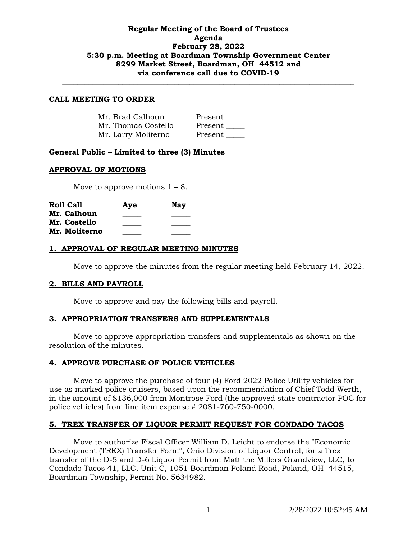# **Regular Meeting of the Board of Trustees Agenda February 28, 2022 5:30 p.m. Meeting at Boardman Township Government Center 8299 Market Street, Boardman, OH 44512 and via conference call due to COVID-19**

**\_\_\_\_\_\_\_\_\_\_\_\_\_\_\_\_\_\_\_\_\_\_\_\_\_\_\_\_\_\_\_\_\_\_\_\_\_\_\_\_\_\_\_\_\_\_\_\_\_\_\_\_\_\_\_\_\_\_\_\_\_\_\_\_\_\_\_\_\_\_\_\_\_\_\_\_\_\_**

#### **CALL MEETING TO ORDER**

| Mr. Brad Calhoun    | Present |
|---------------------|---------|
| Mr. Thomas Costello | Present |
| Mr. Larry Moliterno | Present |

### **General Public – Limited to three (3) Minutes**

#### **APPROVAL OF MOTIONS**

Move to approve motions  $1 - 8$ .

| <b>Roll Call</b> | Aye | <b>Nay</b> |
|------------------|-----|------------|
| Mr. Calhoun      |     |            |
| Mr. Costello     |     |            |
| Mr. Moliterno    |     |            |

### **1. APPROVAL OF REGULAR MEETING MINUTES**

Move to approve the minutes from the regular meeting held February 14, 2022.

### **2. BILLS AND PAYROLL**

Move to approve and pay the following bills and payroll.

### **3. APPROPRIATION TRANSFERS AND SUPPLEMENTALS**

Move to approve appropriation transfers and supplementals as shown on the resolution of the minutes.

### **4. APPROVE PURCHASE OF POLICE VEHICLES**

Move to approve the purchase of four (4) Ford 2022 Police Utility vehicles for use as marked police cruisers, based upon the recommendation of Chief Todd Werth, in the amount of \$136,000 from Montrose Ford (the approved state contractor POC for police vehicles) from line item expense # 2081-760-750-0000.

# **5. TREX TRANSFER OF LIQUOR PERMIT REQUEST FOR CONDADO TACOS**

Move to authorize Fiscal Officer William D. Leicht to endorse the "Economic Development (TREX) Transfer Form", Ohio Division of Liquor Control, for a Trex transfer of the D-5 and D-6 Liquor Permit from Matt the Millers Grandview, LLC, to Condado Tacos 41, LLC, Unit C, 1051 Boardman Poland Road, Poland, OH 44515, Boardman Township, Permit No. 5634982.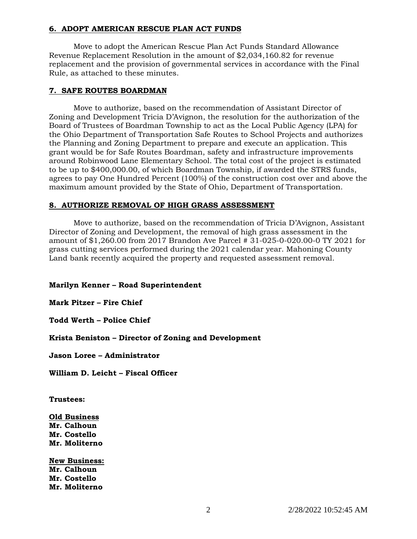## **6. ADOPT AMERICAN RESCUE PLAN ACT FUNDS**

Move to adopt the American Rescue Plan Act Funds Standard Allowance Revenue Replacement Resolution in the amount of \$2,034,160.82 for revenue replacement and the provision of governmental services in accordance with the Final Rule, as attached to these minutes.

# **7. SAFE ROUTES BOARDMAN**

Move to authorize, based on the recommendation of Assistant Director of Zoning and Development Tricia D'Avignon, the resolution for the authorization of the Board of Trustees of Boardman Township to act as the Local Public Agency (LPA) for the Ohio Department of Transportation Safe Routes to School Projects and authorizes the Planning and Zoning Department to prepare and execute an application. This grant would be for Safe Routes Boardman, safety and infrastructure improvements around Robinwood Lane Elementary School. The total cost of the project is estimated to be up to \$400,000.00, of which Boardman Township, if awarded the STRS funds, agrees to pay One Hundred Percent (100%) of the construction cost over and above the maximum amount provided by the State of Ohio, Department of Transportation.

## **8. AUTHORIZE REMOVAL OF HIGH GRASS ASSESSMENT**

Move to authorize, based on the recommendation of Tricia D'Avignon, Assistant Director of Zoning and Development, the removal of high grass assessment in the amount of \$1,260.00 from 2017 Brandon Ave Parcel # 31-025-0-020.00-0 TY 2021 for grass cutting services performed during the 2021 calendar year. Mahoning County Land bank recently acquired the property and requested assessment removal.

# **Marilyn Kenner – Road Superintendent**

**Mark Pitzer – Fire Chief**

**Todd Werth – Police Chief**

**Krista Beniston – Director of Zoning and Development**

**Jason Loree – Administrator**

**William D. Leicht – Fiscal Officer**

**Trustees:**

**Old Business Mr. Calhoun Mr. Costello Mr. Moliterno**

**New Business: Mr. Calhoun Mr. Costello Mr. Moliterno**